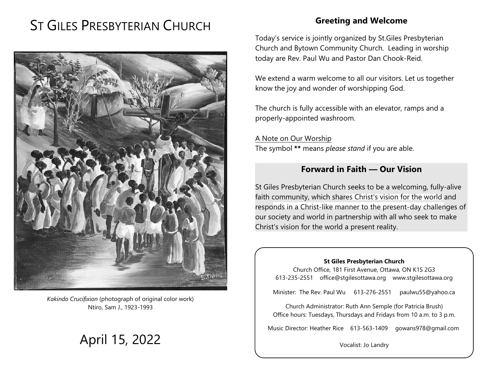# ST GILES PRESBYTERIAN CHURCH



*Kakindo Crucifixion* (photograph of original color work) Ntiro, Sam J., 1923-1993

# April 15, 2022

## **Greeting and Welcome**

Today's service is jointly organized by St.Giles Presbyterian Church and Bytown Community Church. Leading in worship today are Rev. Paul Wu and Pastor Dan Chook-Reid.

We extend a warm welcome to all our visitors. Let us together know the joy and wonder of worshipping God.

The church is fully accessible with an elevator, ramps and a properly-appointed washroom.

A Note on Our Worship The symbol **\*\*** means *please stand* if you are able.

# **Forward in Faith — Our Vision**

St Giles Presbyterian Church seeks to be a welcoming, fully-alive faith community, which shares Christ's vision for the world and responds in a Christ-like manner to the present-day challenges of our society and world in partnership with all who seek to make Christ's vision for the world a present reality.

#### **St Giles Presbyterian Church**

Church Office, 181 First Avenue, Ottawa, ON K1S 2G3 613-235-2551 office@stgilesottawa.org www.stgilesottawa.org

Minister: The Rev. Paul Wu 613-276-2551 paulwu55@yahoo.ca

Church Administrator: Ruth Ann Semple (for Patricia Brush) Office hours: Tuesdays, Thursdays and Fridays from 10 a.m. to 3 p.m.

Music Director: Heather Rice 613-563-1409 gowans978@gmail.com

Vocalist: Jo Landry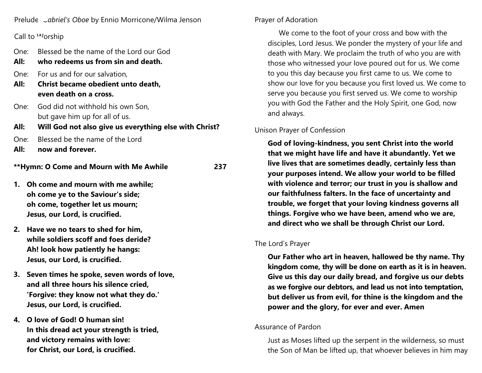Prelude *Gabriel's Oboe* by Ennio Morricone/Wilma Jenson

#### Call to '*Norship*

- One: Blessed be the name of the Lord our God
- **All: who redeems us from sin and death.**
- One: For us and for our salvation,
- **All: Christ became obedient unto death, even death on a cross.**
- One: God did not withhold his own Son, but gave him up for all of us.
- **All: Will God not also give us everything else with Christ?**
- One: Blessed be the name of the Lord
- **All: now and forever.**

**\*\*Hymn: O Come and Mourn with Me Awhile 237**

- **1. Oh come and mourn with me awhile; oh come ye to the Saviour's side; oh come, together let us mourn; Jesus, our Lord, is crucified.**
- **2. Have we no tears to shed for him, while soldiers scoff and foes deride? Ah! look how patiently he hangs: Jesus, our Lord, is crucified.**
- **3. Seven times he spoke, seven words of love, and all three hours his silence cried, 'Forgive: they know not what they do.' Jesus, our Lord, is crucified.**
- **4. O love of God! O human sin! In this dread act your strength is tried, and victory remains with love: for Christ, our Lord, is crucified.**

#### Prayer of Adoration

We come to the foot of your cross and bow with the disciples, Lord Jesus. We ponder the mystery of your life and death with Mary. We proclaim the truth of who you are with those who witnessed your love poured out for us. We come to you this day because you first came to us. We come to show our love for you because you first loved us. We come to serve you because you first served us. We come to worship you with God the Father and the Holy Spirit, one God, now and always.

### Unison Prayer of Confession

**God of loving-kindness, you sent Christ into the world that we might have life and have it abundantly. Yet we live lives that are sometimes deadly, certainly less than your purposes intend. We allow your world to be filled with violence and terror; our trust in you is shallow and our faithfulness falters. In the face of uncertainty and trouble, we forget that your loving kindness governs all things. Forgive who we have been, amend who we are, and direct who we shall be through Christ our Lord.** 

#### The Lord's Prayer

**Our Father who art in heaven, hallowed be thy name. Thy kingdom come, thy will be done on earth as it is in heaven. Give us this day our daily bread, and forgive us our debts as we forgive our debtors, and lead us not into temptation, but deliver us from evil, for thine is the kingdom and the power and the glory, for ever and ever. Amen**

#### Assurance of Pardon

Just as Moses lifted up the serpent in the wilderness, so must the Son of Man be lifted up, that whoever believes in him may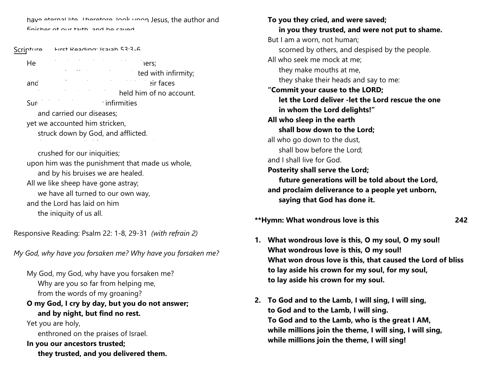have eternal life. Therefore, look upon Jesus, the author and

finichar of our taith, and ha cavad.

Scripture First Reading: Isaiah 53:2-6

He was despited by others; ted with infirmity; and and the from whom others hide their faces held him of no account. Surely he has borne our infirmities and carried our diseases; yet we accounted him stricken, struck down by God, and afflicted.

But he was wounded for our transgressions,

crushed for our iniquities; upon him was the punishment that made us whole, and by his bruises we are healed. All we like sheep have gone astray; we have all turned to our own way, and the Lord has laid on him the iniquity of us all.

Responsive Reading: Psalm 22: 1-8, 29-31 *(with refrain 2)*

*My God, why have you forsaken me? Why have you forsaken me?*

My God, my God, why have you forsaken me? Why are you so far from helping me, from the words of my groaning?

### **O my God, I cry by day, but you do not answer; and by night, but find no rest.**

Yet you are holy, enthroned on the praises of Israel.

**In you our ancestors trusted; they trusted, and you delivered them.** **To you they cried, and were saved; in you they trusted, and were not put to shame.** But I am a worn, not human; scorned by others, and despised by the people. All who seek me mock at me; they make mouths at me, they shake their heads and say to me: **"Commit your cause to the LORD; let the Lord deliver -let the Lord rescue the one in whom the Lord delights!" All who sleep in the earth shall bow down to the Lord;** all who go down to the dust, shall bow before the Lord; and I shall live for God. **Posterity shall serve the Lord; future generations will be told about the Lord, and proclaim deliverance to a people yet unborn, saying that God has done it.**

**\*\*Hymn: What wondrous love is this 242**

- **1. What wondrous love is this, O my soul, O my soul! What wondrous love is this, O my soul! What won drous love is this, that caused the Lord of bliss to lay aside his crown for my soul, for my soul, to lay aside his crown for my soul.**
- **2. To God and to the Lamb, I will sing, I will sing, to God and to the Lamb, I will sing. To God and to the Lamb, who is the great I AM, while millions join the theme, I will sing, I will sing, while mìllions join the theme, I will sing!**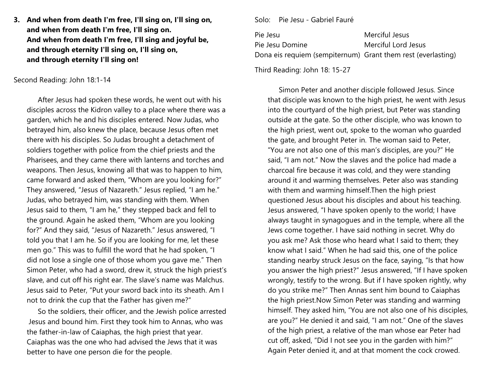**3. And when from death I'm free, I'll sing on, I'll sing on, and when from death I'm free, I'll sing on. And when from death I'm free, I'll sing and joyful be, and through eternity I'll sing on, I'll sing on, and through eternity I'll sing on!**

Second Reading: John 18:1-14

After Jesus had spoken these words, he went out with his disciples across the Kidron valley to a place where there was a garden, which he and his disciples entered. Now Judas, who betrayed him, also knew the place, because Jesus often met there with his disciples. So Judas brought a detachment of soldiers together with police from the chief priests and the Pharisees, and they came there with lanterns and torches and weapons. Then Jesus, knowing all that was to happen to him, came forward and asked them, "Whom are you looking for?" They answered, "Jesus of Nazareth." Jesus replied, "I am he." Judas, who betrayed him, was standing with them. When Jesus said to them, "I am he," they stepped back and fell to the ground. Again he asked them, "Whom are you looking for?" And they said, "Jesus of Nazareth." Jesus answered, "I told you that I am he. So if you are looking for me, let these men go." This was to fulfill the word that he had spoken, "I did not lose a single one of those whom you gave me." Then Simon Peter, who had a sword, drew it, struck the high priest's slave, and cut off his right ear. The slave's name was Malchus. Jesus said to Peter, "Put your sword back into its sheath. Am I not to drink the cup that the Father has given me?"

So the soldiers, their officer, and the Jewish police arrested Jesus and bound him. First they took him to Annas, who was the father-in-law of Caiaphas, the high priest that year. Caiaphas was the one who had advised the Jews that it was better to have one person die for the people.

Solo: Pie Jesu - Gabriel Fauré

Pie Jesu Merciful Jesus Pie Jesu Domine Merciful Lord Jesus Dona eis requiem (sempiternum) Grant them rest (everlasting)

Third Reading: John 18: 15-27

Simon Peter and another disciple followed Jesus. Since that disciple was known to the high priest, he went with Jesus into the courtyard of the high priest, but Peter was standing outside at the gate. So the other disciple, who was known to the high priest, went out, spoke to the woman who guarded the gate, and brought Peter in. The woman said to Peter, "You are not also one of this man's disciples, are you?" He said, "I am not." Now the slaves and the police had made a charcoal fire because it was cold, and they were standing around it and warming themselves. Peter also was standing with them and warming himself.Then the high priest questioned Jesus about his disciples and about his teaching. Jesus answered, "I have spoken openly to the world; I have always taught in synagogues and in the temple, where all the Jews come together. I have said nothing in secret. Why do you ask me? Ask those who heard what I said to them; they know what I said." When he had said this, one of the police standing nearby struck Jesus on the face, saying, "Is that how you answer the high priest?" Jesus answered, "If I have spoken wrongly, testify to the wrong. But if I have spoken rightly, why do you strike me?" Then Annas sent him bound to Caiaphas the high priest.Now Simon Peter was standing and warming himself. They asked him, "You are not also one of his disciples, are you?" He denied it and said, "I am not." One of the slaves of the high priest, a relative of the man whose ear Peter had cut off, asked, "Did I not see you in the garden with him?" Again Peter denied it, and at that moment the cock crowed.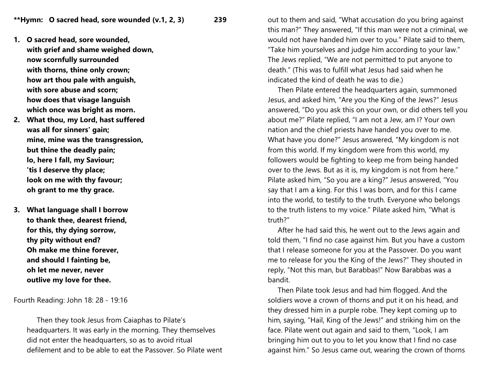- **1. O sacred head, sore wounded, with grief and shame weighed down, now scornfully surrounded with thorns, thine only crown; how art thou pale with anguish, with sore abuse and scorn; how does that visage languish which once was bright as morn.**
- **2. What thou, my Lord, hast suffered was all for sinners' gain; mine, mine was the transgression, but thine the deadly pain; lo, here I fall, my Saviour; 'tis I deserve thy place; look on me with thy favour; oh grant to me thy grace.**
- **3. What language shall I borrow to thank thee, dearest friend, for this, thy dying sorrow, thy pity without end? Oh make me thine forever, and should I fainting be, oh let me never, never outlive my love for thee.**

Fourth Reading: John 18: 28 - 19:16

 Then they took Jesus from Caiaphas to Pilate's headquarters. It was early in the morning. They themselves did not enter the headquarters, so as to avoid ritual defilement and to be able to eat the Passover. So Pilate went out to them and said, "What accusation do you bring against this man?" They answered, "If this man were not a criminal, we would not have handed him over to you." Pilate said to them, "Take him yourselves and judge him according to your law." The Jews replied, "We are not permitted to put anyone to death." (This was to fulfill what Jesus had said when he indicated the kind of death he was to die.)

 Then Pilate entered the headquarters again, summoned Jesus, and asked him, "Are you the King of the Jews?" Jesus answered, "Do you ask this on your own, or did others tell you about me?" Pilate replied, "I am not a Jew, am I? Your own nation and the chief priests have handed you over to me. What have you done?" Jesus answered, "My kingdom is not from this world. If my kingdom were from this world, my followers would be fighting to keep me from being handed over to the Jews. But as it is, my kingdom is not from here." Pilate asked him, "So you are a king?" Jesus answered, "You say that I am a king. For this I was born, and for this I came into the world, to testify to the truth. Everyone who belongs to the truth listens to my voice." Pilate asked him, "What is truth?"

 After he had said this, he went out to the Jews again and told them, "I find no case against him. But you have a custom that I release someone for you at the Passover. Do you want me to release for you the King of the Jews?" They shouted in reply, "Not this man, but Barabbas!" Now Barabbas was a bandit.

 Then Pilate took Jesus and had him flogged. And the soldiers wove a crown of thorns and put it on his head, and they dressed him in a purple robe. They kept coming up to him, saying, "Hail, King of the Jews!" and striking him on the face. Pilate went out again and said to them, "Look, I am bringing him out to you to let you know that I find no case against him." So Jesus came out, wearing the crown of thorns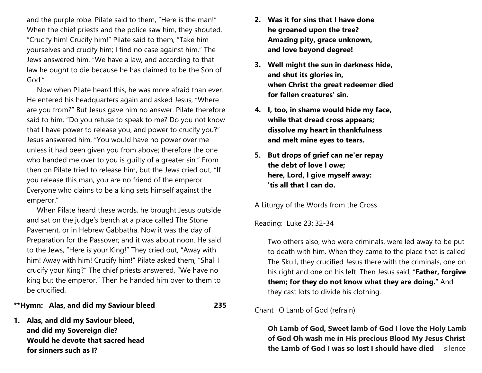and the purple robe. Pilate said to them, "Here is the man!" When the chief priests and the police saw him, they shouted, "Crucify him! Crucify him!" Pilate said to them, "Take him yourselves and crucify him; I find no case against him." The Jews answered him, "We have a law, and according to that law he ought to die because he has claimed to be the Son of God."

 Now when Pilate heard this, he was more afraid than ever. He entered his headquarters again and asked Jesus, "Where are you from?" But Jesus gave him no answer. Pilate therefore said to him, "Do you refuse to speak to me? Do you not know that I have power to release you, and power to crucify you?" Jesus answered him, "You would have no power over me unless it had been given you from above; therefore the one who handed me over to you is guilty of a greater sin." From then on Pilate tried to release him, but the Jews cried out, "If you release this man, you are no friend of the emperor. Everyone who claims to be a king sets himself against the emperor."

 When Pilate heard these words, he brought Jesus outside and sat on the judge's bench at a place called The Stone Pavement, or in Hebrew Gabbatha. Now it was the day of Preparation for the Passover; and it was about noon. He said to the Jews, "Here is your King!" They cried out, "Away with him! Away with him! Crucify him!" Pilate asked them, "Shall I crucify your King?" The chief priests answered, "We have no king but the emperor." Then he handed him over to them to be crucified.

**\*\*Hymn: Alas, and did my Saviour bleed 235**

**1. Alas, and did my Saviour bleed, and did my Sovereign die? Would he devote that sacred head for sinners such as I?**

- **2. Was it for sins that I have done he groaned upon the tree? Amazing pity, grace unknown, and love beyond degree!**
- **3. Well might the sun in darkness hide, and shut its glories in, when Christ the great redeemer died for fallen creatures' sin.**
- **4. I, too, in shame would hide my face, while that dread cross appears; dissolve my heart in thankfulness and melt mine eyes to tears.**
- **5. But drops of grief can ne'er repay the debt of love I owe; here, Lord, I give myself away: 'tis all that I can do.**

A Liturgy of the Words from the Cross

Reading: Luke 23: 32-34

Two others also, who were criminals, were led away to be put to death with him. When they came to the place that is called The Skull, they crucified Jesus there with the criminals, one on his right and one on his left. Then Jesus said, "**Father, forgive them; for they do not know what they are doing.**" And they cast lots to divide his clothing.

Chant O Lamb of God (refrain)

**Oh Lamb of God, Sweet lamb of God I love the Holy Lamb of God Oh wash me in His precious Blood My Jesus Christ the Lamb of God I was so lost I should have died** silence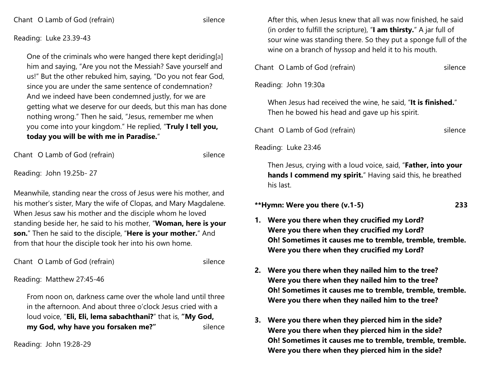Chant O Lamb of God (refrain) silence

Reading: Luke 23.39-43

One of the criminals who were hanged there kept deriding[a] him and saying, "Are you not the Messiah? Save yourself and us!" But the other rebuked him, saying, "Do you not fear God, since you are under the same sentence of condemnation? And we indeed have been condemned justly, for we are getting what we deserve for our deeds, but this man has done nothing wrong." Then he said, "Jesus, remember me when you come into your kingdom." He replied, "**Truly I tell you, today you will be with me in Paradise.**"

Chant O Lamb of God (refrain) silence

Reading: John 19.25b- 27

Meanwhile, standing near the cross of Jesus were his mother, and his mother's sister, Mary the wife of Clopas, and Mary Magdalene. When Jesus saw his mother and the disciple whom he loved standing beside her, he said to his mother, "**Woman, here is your son.**" Then he said to the disciple, "**Here is your mother.**" And from that hour the disciple took her into his own home.

Chant O Lamb of God (refrain) silence

Reading: Matthew 27:45-46

From noon on, darkness came over the whole land until three in the afternoon. And about three o'clock Jesus cried with a loud voice, "**Eli, Eli, lema sabachthani?**" that is, **"My God, my God, why have you forsaken me?"** silence

Reading: John 19:28-29

|                                       | Were you there when they pierced him in the side?                                                                                                                                                                                                              |         |
|---------------------------------------|----------------------------------------------------------------------------------------------------------------------------------------------------------------------------------------------------------------------------------------------------------------|---------|
| 2.                                    | Were you there when they nailed him to the tree?<br>Were you there when they nailed him to the tree?<br>Oh! Sometimes it causes me to tremble, tremble, tremble.<br>Were you there when they nailed him to the tree?                                           |         |
| 1.                                    | Were you there when they crucified my Lord?<br>Were you there when they crucified my Lord?<br>Oh! Sometimes it causes me to tremble, tremble, tremble.<br>Were you there when they crucified my Lord?                                                          |         |
| **Hymn: Were you there (v.1-5)<br>233 |                                                                                                                                                                                                                                                                |         |
|                                       | Then Jesus, crying with a loud voice, said, "Father, into your<br>hands I commend my spirit." Having said this, he breathed<br>his last.                                                                                                                       |         |
| Reading: Luke 23:46                   |                                                                                                                                                                                                                                                                |         |
|                                       | Chant O Lamb of God (refrain)                                                                                                                                                                                                                                  | silence |
|                                       | When Jesus had received the wine, he said, "It is finished."<br>Then he bowed his head and gave up his spirit.                                                                                                                                                 |         |
|                                       | Reading: John 19:30a                                                                                                                                                                                                                                           |         |
|                                       | Chant O Lamb of God (refrain)                                                                                                                                                                                                                                  | silence |
|                                       | After this, when Jesus knew that all was now finished, he said<br>(in order to fulfill the scripture), "I am thirsty." A jar full of<br>sour wine was standing there. So they put a sponge full of the<br>wine on a branch of hyssop and held it to his mouth. |         |
|                                       |                                                                                                                                                                                                                                                                |         |

**3.** Were you there when they pierced **Were you there when they pierced him in the side? Oh! Sometimes it causes me to tremble, tremble, tremble. Were you there when they pierced him in the side?**